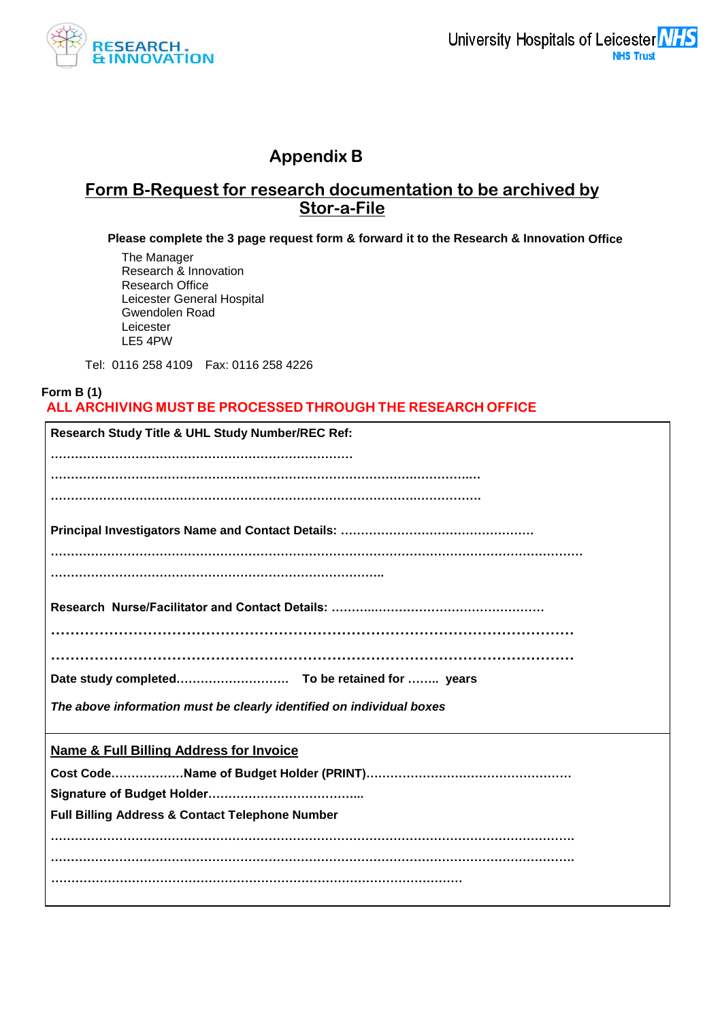

# **Appendix B**

## **Form B-Request for research documentation to be archived by Stor-a-File**

**Please complete the 3 page request form & forward it to the Research & Innovation Office**

The Manager Research & Innovation Research Office Leicester General Hospital Gwendolen Road Leicester LE5 4PW

Tel: 0116 258 4109 Fax: 0116 258 4226

#### **Form B (1) ALL ARCHIVING MUST BE PROCESSED THROUGH THE RESEARCH OFFICE**

| The above information must be clearly identified on individual boxes |
|----------------------------------------------------------------------|
| <b>Name &amp; Full Billing Address for Invoice</b>                   |
|                                                                      |
|                                                                      |
| <b>Full Billing Address &amp; Contact Telephone Number</b>           |
|                                                                      |
|                                                                      |
|                                                                      |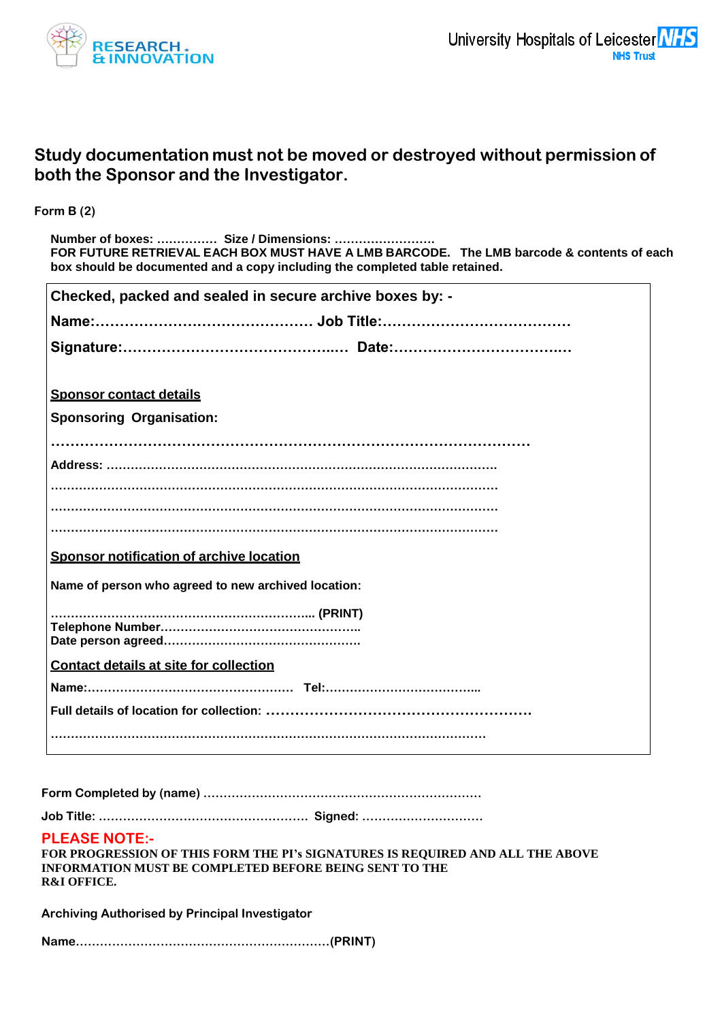

# **Study documentation must not be moved or destroyed without permission of both the Sponsor and the Investigator.**

**Form B (2)**

**Number of boxes: …………… Size / Dimensions: ……………………. FOR FUTURE RETRIEVAL EACH BOX MUST HAVE A LMB BARCODE. The LMB barcode & contents of each box should be documented and a copy including the completed table retained.**

| Checked, packed and sealed in secure archive boxes by: - |
|----------------------------------------------------------|
|                                                          |
|                                                          |
|                                                          |
| <b>Sponsor contact details</b>                           |
| <b>Sponsoring Organisation:</b>                          |
|                                                          |
|                                                          |
|                                                          |
|                                                          |
|                                                          |
| Sponsor notification of archive location                 |
| Name of person who agreed to new archived location:      |
|                                                          |
|                                                          |
| <b>Contact details at site for collection</b>            |
|                                                          |
|                                                          |
|                                                          |
|                                                          |

**Form Completed by (name) ……………………………………………………………** 

**Job Title: ……………………………………………. Signed: …………………………**

#### **PLEASE NOTE:-**

| FOR PROGRESSION OF THIS FORM THE PI's SIGNATURES IS REQUIRED AND ALL THE ABOVE |
|--------------------------------------------------------------------------------|
| INFORMATION MUST BE COMPLETED BEFORE BEING SENT TO THE                         |
| <b>R&amp;I OFFICE.</b>                                                         |

**Archiving Authorised by Principal Investigator** 

**Name………………………………………………………(PRINT)**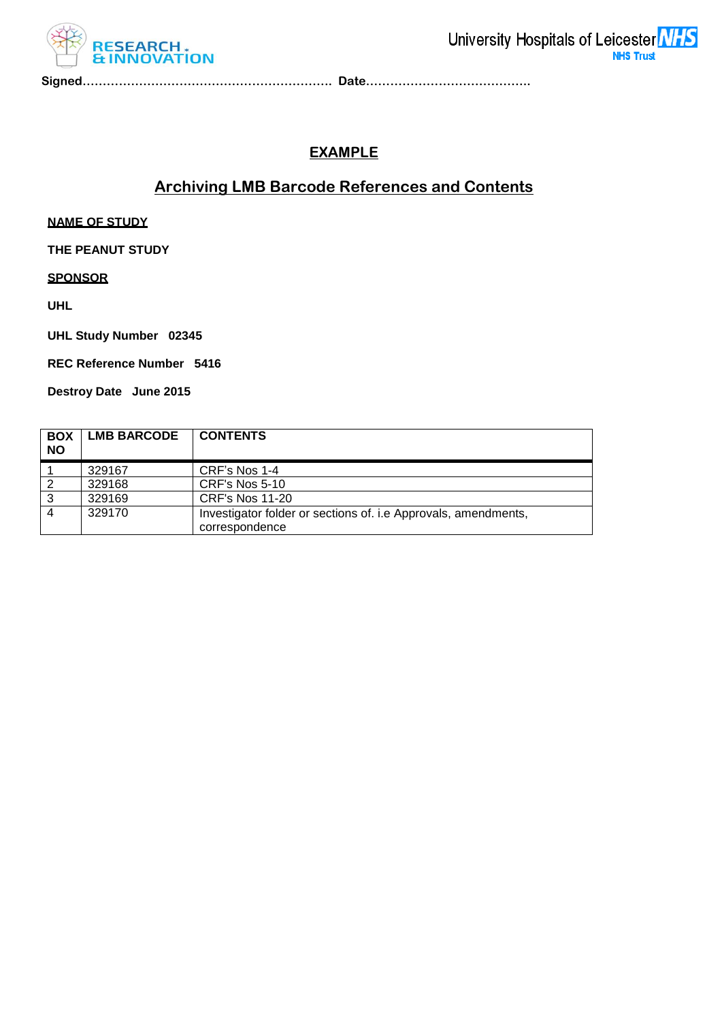

**Signed…………………………………………………….. Date…………………………………..**

## **EXAMPLE**

# **Archiving LMB Barcode References and Contents**

**NAME OF STUDY**

**THE PEANUT STUDY**

**SPONSOR**

**UHL**

**UHL Study Number 02345**

**REC Reference Number 5416**

**Destroy Date June 2015**

| <b>BOX</b><br><b>NO</b> | <b>LMB BARCODE</b> | <b>CONTENTS</b>                                                                  |
|-------------------------|--------------------|----------------------------------------------------------------------------------|
|                         | 329167             | CRF's Nos 1-4                                                                    |
| 2                       | 329168             | CRF's Nos 5-10                                                                   |
| 3                       | 329169             | <b>CRF's Nos 11-20</b>                                                           |
|                         | 329170             | Investigator folder or sections of. i.e Approvals, amendments,<br>correspondence |